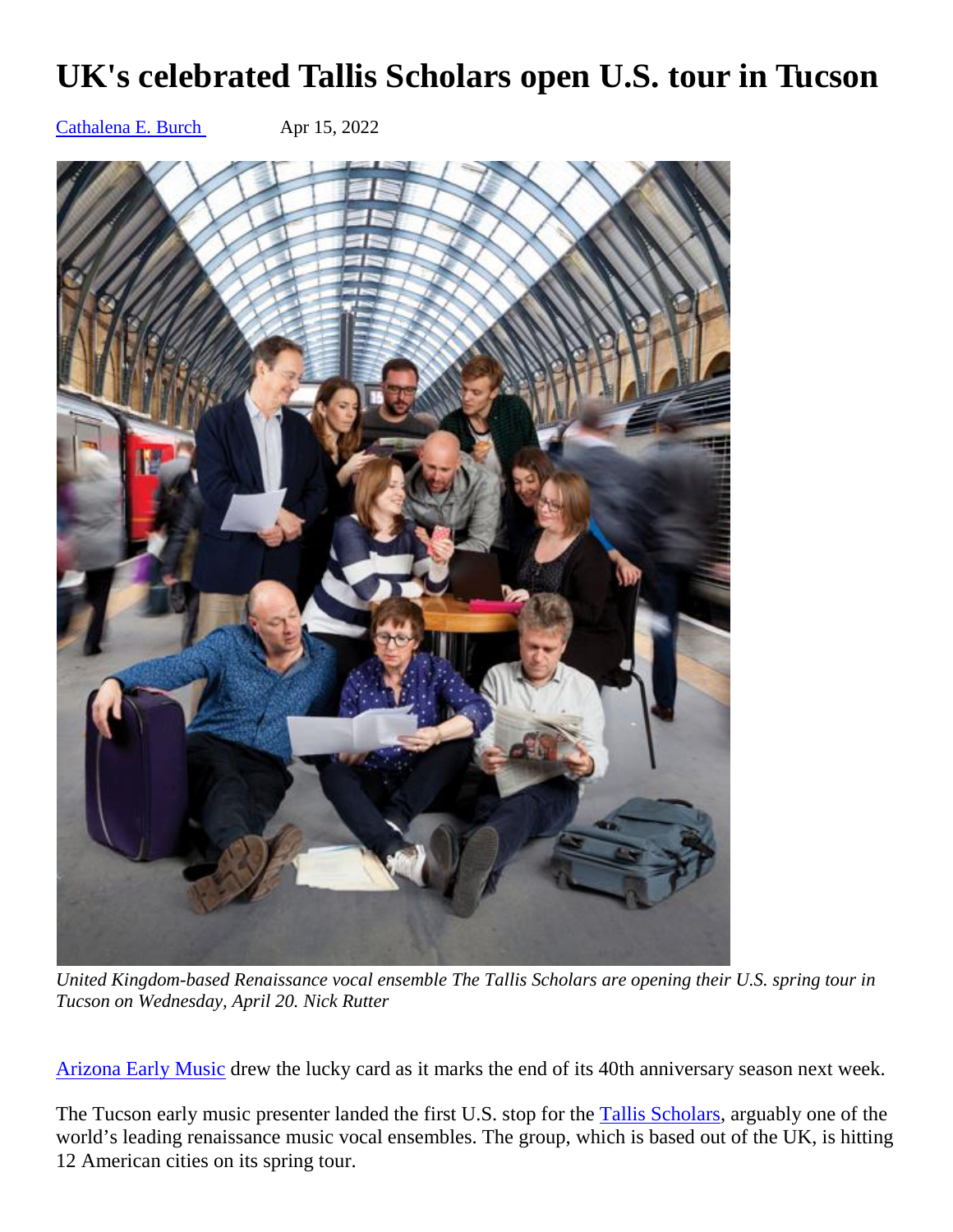## **UK's celebrated Tallis Scholars open U.S. tour in Tucson**

[Cathalena E. Burch](https://tucson.com/users/profile/Cathalena%20E.%20Burch) Apr 15, 2022



*United Kingdom-based Renaissance vocal ensemble The Tallis Scholars are opening their U.S. spring tour in Tucson on Wednesday, April 20. Nick Rutter* 

[Arizona Early Music](https://azearlymusic.org/the-tallis-scholars) drew the lucky card as it marks the end of its 40th anniversary season next week.

The Tucson early music presenter landed the first U.S. stop for the [Tallis Scholars,](https://www.thetallisscholars.co.uk/about-us) arguably one of the world's leading renaissance music vocal ensembles. The group, which is based out of the UK, is hitting 12 American cities on its spring tour.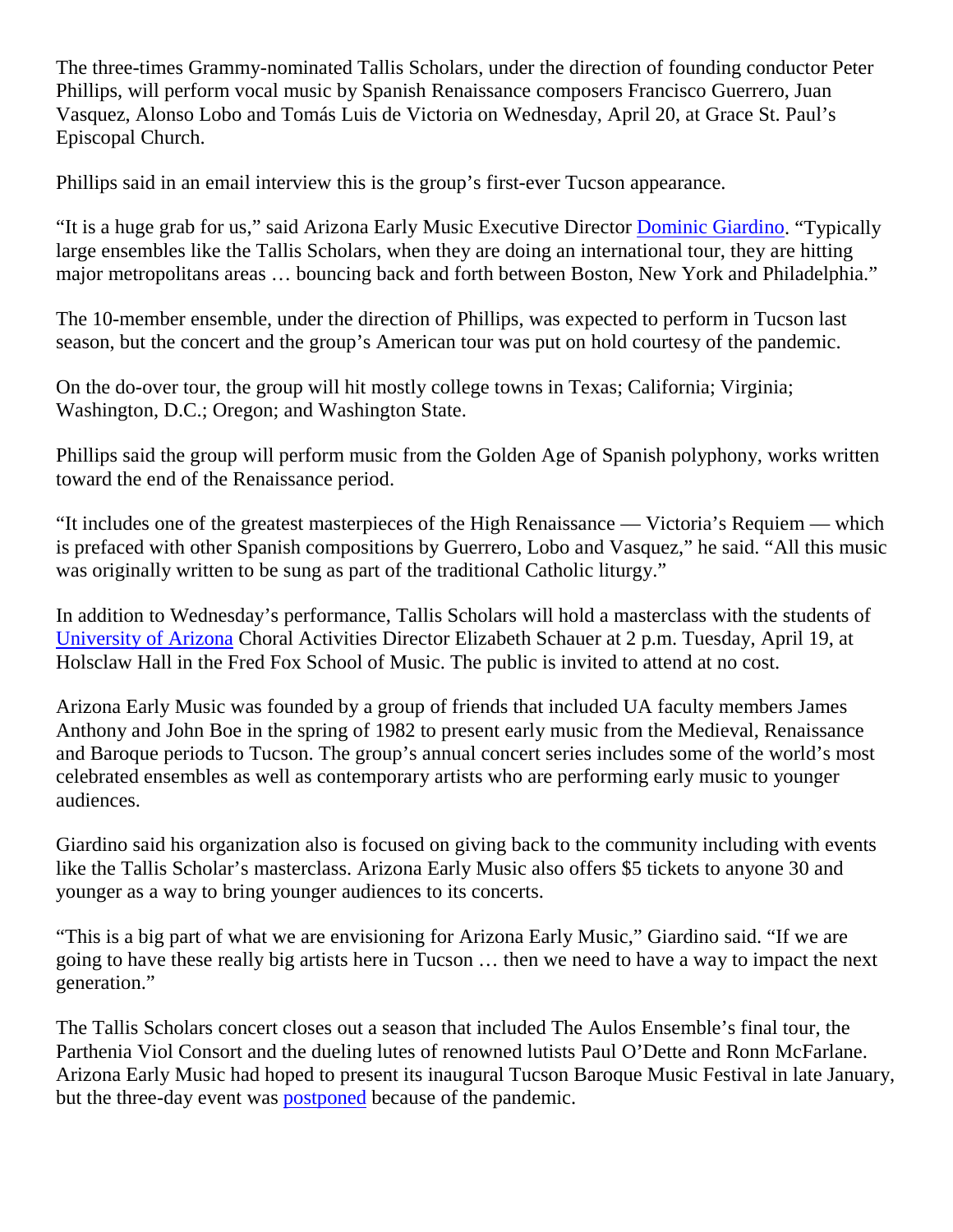The three-times Grammy-nominated Tallis Scholars, under the direction of founding conductor Peter Phillips, will perform vocal music by Spanish Renaissance composers Francisco Guerrero, Juan Vasquez, Alonso Lobo and Tomás Luis de Victoria on Wednesday, April 20, at Grace St. Paul's Episcopal Church.

Phillips said in an email interview this is the group's first-ever Tucson appearance.

"It is a huge grab for us," said Arizona Early Music Executive Director [Dominic Giardino.](https://tucson.com/entertainment/music/tucsons-arizona-early-music-hires-first-paid-employee-in-40-year-history/article_0da0e9d6-f3ce-11eb-be59-b3eb6868b1ac.html) "Typically large ensembles like the Tallis Scholars, when they are doing an international tour, they are hitting major metropolitans areas … bouncing back and forth between Boston, New York and Philadelphia."

The 10-member ensemble, under the direction of Phillips, was expected to perform in Tucson last season, but the concert and the group's American tour was put on hold courtesy of the pandemic.

On the do-over tour, the group will hit mostly college towns in Texas; California; Virginia; Washington, D.C.; Oregon; and Washington State.

Phillips said the group will perform music from the Golden Age of Spanish polyphony, works written toward the end of the Renaissance period.

"It includes one of the greatest masterpieces of the High Renaissance — Victoria's Requiem — which is prefaced with other Spanish compositions by Guerrero, Lobo and Vasquez," he said. "All this music was originally written to be sung as part of the traditional Catholic liturgy."

In addition to Wednesday's performance, Tallis Scholars will hold a masterclass with the students of [University of Arizona](https://music.arizona.edu/people/directory/erschaue/#:~:text=Elizabeth) Choral Activities Director Elizabeth Schauer at 2 p.m. Tuesday, April 19, at Holsclaw Hall in the Fred Fox School of Music. The public is invited to attend at no cost.

Arizona Early Music was founded by a group of friends that included UA faculty members James Anthony and John Boe in the spring of 1982 to present early music from the Medieval, Renaissance and Baroque periods to Tucson. The group's annual concert series includes some of the world's most celebrated ensembles as well as contemporary artists who are performing early music to younger audiences.

Giardino said his organization also is focused on giving back to the community including with events like the Tallis Scholar's masterclass. Arizona Early Music also offers \$5 tickets to anyone 30 and younger as a way to bring younger audiences to its concerts.

"This is a big part of what we are envisioning for Arizona Early Music," Giardino said. "If we are going to have these really big artists here in Tucson … then we need to have a way to impact the next generation."

The Tallis Scholars concert closes out a season that included The Aulos Ensemble's final tour, the Parthenia Viol Consort and the dueling lutes of renowned lutists Paul O'Dette and Ronn McFarlane. Arizona Early Music had hoped to present its inaugural Tucson Baroque Music Festival in late January, but the three-day event was [postponed](https://tucson.com/entertainment/music/tucson-baroque-festival-postponed-due-to-spike-in-covid-cases/article_5a665ac0-732c-11ec-a90f-bf485cac2cd9.html) because of the pandemic.